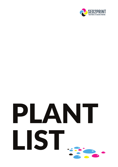

# PLANT LIST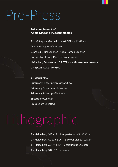### Pre-Press

#### Full complement of Apple Mac and PC technologies:

11 x G5 Apple Macs with latest DTP applications Over 4 terabytes of storage Crosfield Drum Scanner + Creo Flatbed Scanner PurupEskofot Copy Dot/Linework Scanner Heidelberg Suprasetter 105 CTP + multi cassette Autoloader 2 x Epson Stylus Pro 9800

1 x Epson 9600

PrintreadyPrinect prepress workflow

PrintreadyPrinect remote access

PrintreadyPrinect profile toolbox

Spectrophotometer

Press Room Sheetfed

# Lithographic

2 x Heidelberg 102 -12 colour perfector with CutStar  $2 \times$  Heidelberg XL 105-5LX - 5 colour plus LX coater 1 x Heidelberg CD 74-5 LX– 5 colour plus LX coater 1 x Heidelberg GTO 52 – 2 colour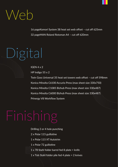

16 pageKomori System 38 heat set web offset – cut off 625mm 32 pageMAN Roland Rotoman A4 – cut off 620mm

# Digital

IGEN 4 x 2

HP Indigo 55 x 2

Twin Goss Universal 35 heat set towers web offset – cut off 598mm Konica Minolta C6100 Accurio Press (max sheet size 330x750) Konica Minolta C1085 Bizhub Press (max sheet size 330x487) Konica Minolta C6000 Bizhub Press (max sheet size 330x487) Prinergy V8 Workflow System

# Finishing

Drilling 2 or 4 hole punching

- 2 x Polar 115 guillotine
- 1 x Polar 115 XT Autotrim
- 1 x Polar 72 guillotine
- 1 x 78 Stahl folder barrel fed 8 plate + knife
- 1 x T66 Stahl folder pile fed 4 plate + 2 knives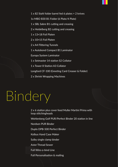1 x 82 Stahl folder barrel fed 6 plates + 2 knives 1x MBO B30 B1 Folder (6 Plate/4 Plate) 1 x SBL Sabre B1 cutting and creasing 2 x Heidelberg B2 cutting and creasing 1 x 13×18 Foil Platen 2 x 10×15 Foil Platen 2 x A4 Flittering Tunnels 1 x Autobond Compact B1 Laminator Europa System Laminator 1 x Setmaster 14 station S2 Collator 1 x Tower 8 Station A3 Collator Longford CF-100 (Greeting Card Creaser & Folder) 2 x Shrink Wrapping Machines

# Bindery

2 x 6 station plus cover feed Muller Martini Prima with loop stitchingheads

Wohlenberg Golf PUR/Perfect Binder 20 station in line

Nordsen PUR Binder

Duplo DPB-500 Perfect Binder

Kolbus Hand Case Maker

Sulby single clamp binder

Aster Thread Sewer

Full Wire-o-bind Line

Full Personalisation & mailing